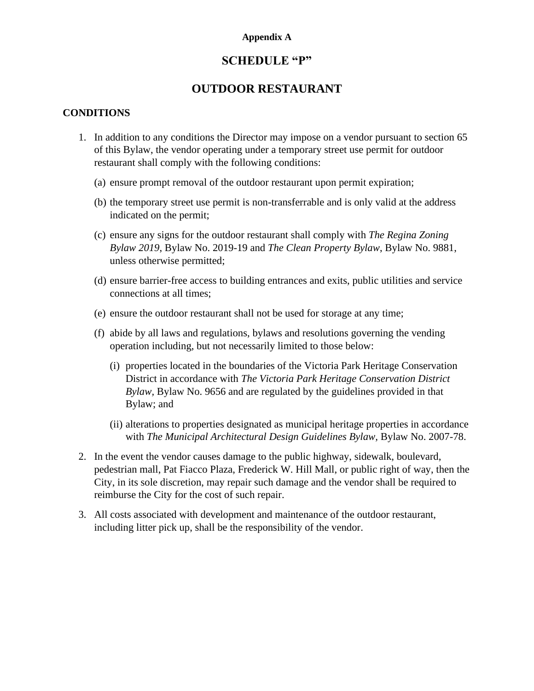#### **Appendix A**

## **SCHEDULE "P"**

# **OUTDOOR RESTAURANT**

### **CONDITIONS**

- 1. In addition to any conditions the Director may impose on a vendor pursuant to section 65 of this Bylaw, the vendor operating under a temporary street use permit for outdoor restaurant shall comply with the following conditions:
	- (a) ensure prompt removal of the outdoor restaurant upon permit expiration;
	- (b) the temporary street use permit is non-transferrable and is only valid at the address indicated on the permit;
	- (c) ensure any signs for the outdoor restaurant shall comply with *The Regina Zoning Bylaw 2019*, Bylaw No. 2019-19 and *The Clean Property Bylaw*, Bylaw No. 9881, unless otherwise permitted;
	- (d) ensure barrier-free access to building entrances and exits, public utilities and service connections at all times;
	- (e) ensure the outdoor restaurant shall not be used for storage at any time;
	- (f) abide by all laws and regulations, bylaws and resolutions governing the vending operation including, but not necessarily limited to those below:
		- (i) properties located in the boundaries of the Victoria Park Heritage Conservation District in accordance with *The Victoria Park Heritage Conservation District Bylaw,* Bylaw No. 9656 and are regulated by the guidelines provided in that Bylaw; and
		- (ii) alterations to properties designated as municipal heritage properties in accordance with *The Municipal Architectural Design Guidelines Bylaw,* Bylaw No. 2007-78.
- 2. In the event the vendor causes damage to the public highway, sidewalk, boulevard, pedestrian mall, Pat Fiacco Plaza, Frederick W. Hill Mall, or public right of way, then the City, in its sole discretion, may repair such damage and the vendor shall be required to reimburse the City for the cost of such repair.
- 3. All costs associated with development and maintenance of the outdoor restaurant, including litter pick up, shall be the responsibility of the vendor.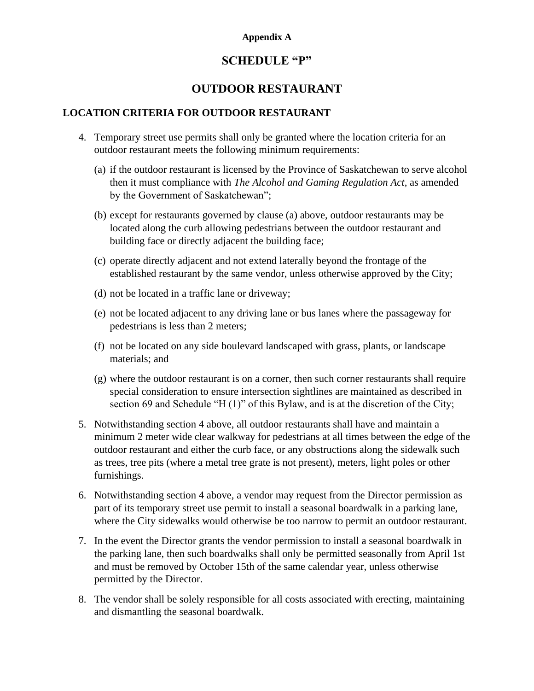### **Appendix A**

# **SCHEDULE "P"**

# **OUTDOOR RESTAURANT**

## **LOCATION CRITERIA FOR OUTDOOR RESTAURANT**

- 4. Temporary street use permits shall only be granted where the location criteria for an outdoor restaurant meets the following minimum requirements:
	- (a) if the outdoor restaurant is licensed by the Province of Saskatchewan to serve alcohol then it must compliance with *The Alcohol and Gaming Regulation Act*, as amended by the Government of Saskatchewan";
	- (b) except for restaurants governed by clause (a) above, outdoor restaurants may be located along the curb allowing pedestrians between the outdoor restaurant and building face or directly adjacent the building face;
	- (c) operate directly adjacent and not extend laterally beyond the frontage of the established restaurant by the same vendor, unless otherwise approved by the City;
	- (d) not be located in a traffic lane or driveway;
	- (e) not be located adjacent to any driving lane or bus lanes where the passageway for pedestrians is less than 2 meters;
	- (f) not be located on any side boulevard landscaped with grass, plants, or landscape materials; and
	- (g) where the outdoor restaurant is on a corner, then such corner restaurants shall require special consideration to ensure intersection sightlines are maintained as described in section 69 and Schedule "H (1)" of this Bylaw, and is at the discretion of the City;
- 5. Notwithstanding section 4 above, all outdoor restaurants shall have and maintain a minimum 2 meter wide clear walkway for pedestrians at all times between the edge of the outdoor restaurant and either the curb face, or any obstructions along the sidewalk such as trees, tree pits (where a metal tree grate is not present), meters, light poles or other furnishings.
- 6. Notwithstanding section 4 above, a vendor may request from the Director permission as part of its temporary street use permit to install a seasonal boardwalk in a parking lane, where the City sidewalks would otherwise be too narrow to permit an outdoor restaurant.
- 7. In the event the Director grants the vendor permission to install a seasonal boardwalk in the parking lane, then such boardwalks shall only be permitted seasonally from April 1st and must be removed by October 15th of the same calendar year, unless otherwise permitted by the Director.
- 8. The vendor shall be solely responsible for all costs associated with erecting, maintaining and dismantling the seasonal boardwalk.